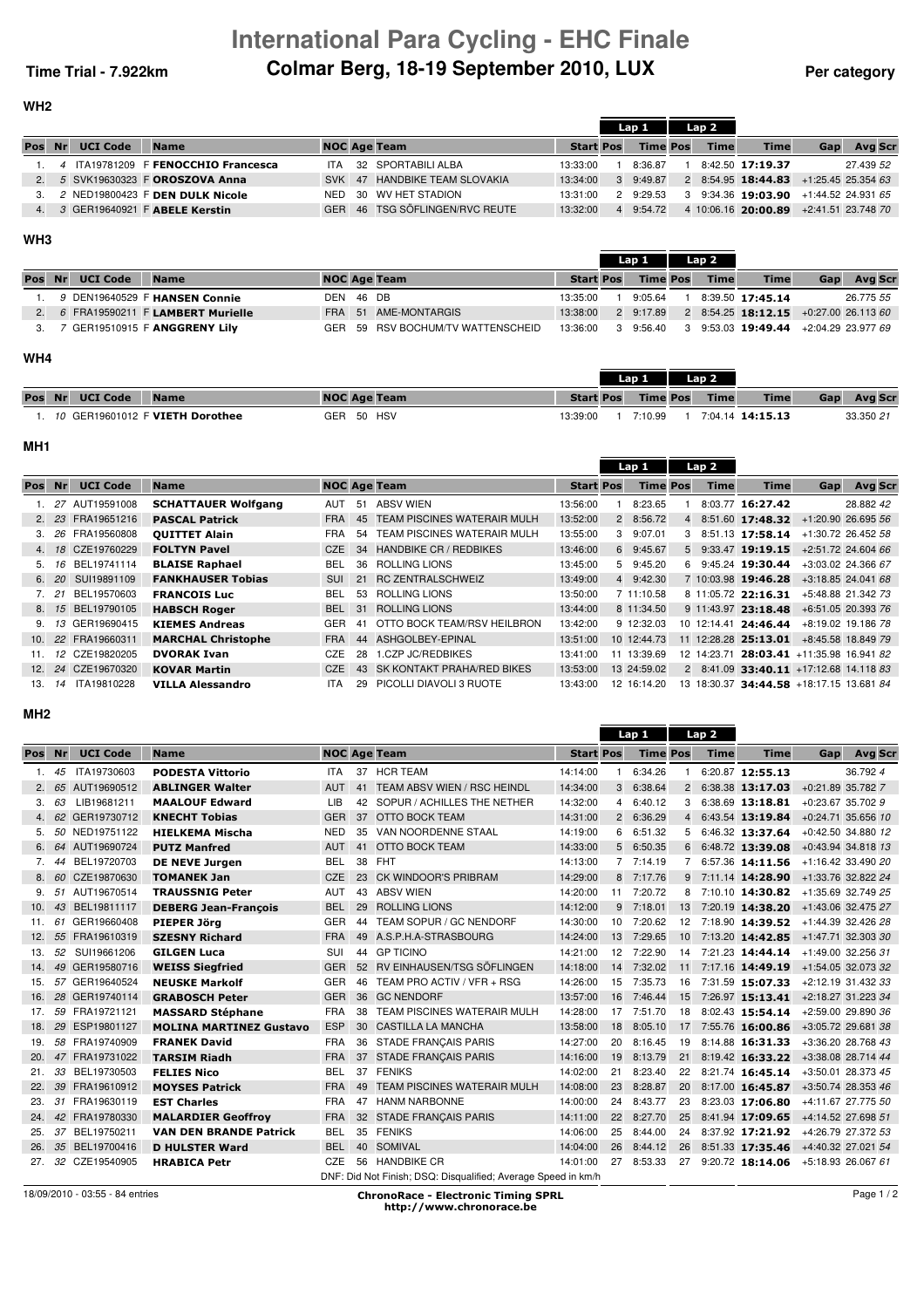## **International Para Cycling - EHC Finale Time Trial - 7.922km Colmar Berg, 18-19 September 2010, LUX** Per category

**WH2**

Lap 1 Lap 2

|               |                 |                                        |            |                                |                  | Lap 1           | Lap 2       |                                         |     |                |
|---------------|-----------------|----------------------------------------|------------|--------------------------------|------------------|-----------------|-------------|-----------------------------------------|-----|----------------|
| Pos Nr        | <b>UCI Code</b> | <b>Name</b>                            |            | <b>NOC Age Team</b>            | <b>Start Pos</b> | <b>Time Pos</b> | <b>Time</b> | <b>Time</b>                             | Gap | <b>Avg Scr</b> |
|               |                 | 1. 4 ITA19781209 F FENOCCHIO Francesca | <b>ITA</b> | 32 SPORTABILI ALBA             | 13:33:00         | 8:36.87         |             | 8:42.50 17:19.37                        |     | 27.439 52      |
|               |                 | 5 SVK19630323 F OROSZOVA Anna          |            | SVK 47 HANDBIKE TEAM SLOVAKIA  | 13:34:00         | 3 9:49.87       |             | 2 8:54.95 18:44.83 $+1.25.45$ 25.354 63 |     |                |
| $\mathcal{B}$ |                 | 2 NED19800423 F DEN DULK Nicole        | NED        | 30 WV HET STADION              | 13:31:00         | 2 9:29.53       |             | 3 9:34.36 19:03.90 +1:44.52 24.931 65   |     |                |
|               |                 | 3 GER19640921 F ABELE Kerstin          |            | GER 46 TSG SÖFLINGEN/RVC REUTE | 13:32:00         | 4 9:54.72       |             | 4 10:06.16 20:00.89 +2:41.51 23.748 70  |     |                |
|               |                 |                                        |            |                                |                  |                 |             |                                         |     |                |

## **WH3**

|        |                 |                                     |           |                                   |                    | Lav 1<br>Lap 4 |                 |  |             |                                                  |     |                |  |
|--------|-----------------|-------------------------------------|-----------|-----------------------------------|--------------------|----------------|-----------------|--|-------------|--------------------------------------------------|-----|----------------|--|
| Pos Nr | <b>UCI Code</b> | <b>Name</b>                         |           | <b>NOC Age Team</b>               | <b>Start Pos</b>   |                | <b>Time Pos</b> |  | <b>Time</b> | <b>Time</b>                                      | Gap | <b>Avg Scr</b> |  |
|        |                 | 9 DEN19640529 F HANSEN Connie       | DEN 46 DB |                                   | 13:35:00           |                | 9:05.64         |  |             | 8:39.50 17:45.14                                 |     | 26.775 55      |  |
|        |                 | 2. 6 FRA19590211 F LAMBERT Murielle |           | FRA 51 AME-MONTARGIS              | 13:38:00           |                | 2 9:17.89       |  |             | 2 8:54.25 <b>18:12.15</b> $+0.27.00$ 26.113 60   |     |                |  |
|        |                 | 3. 7 GER19510915 F ANGGRENY Lilv    |           | GER 59 RSV BOCHUM/TV WATTENSCHEID | 13:36:00 3 9:56.40 |                |                 |  |             | $3$ 9:53.03 <b>19:49.44</b> $+2:04.29$ 23.977 69 |     |                |  |

## **WH4**

|        |                 |                                 |                     |                  | Lan 1           | Lan <sub>2</sub> |                  |     |           |
|--------|-----------------|---------------------------------|---------------------|------------------|-----------------|------------------|------------------|-----|-----------|
| Pos Nr | <b>UCI Code</b> | <b>Name</b>                     | <b>NOC Age Team</b> | <b>Start Pos</b> | <b>Time Pos</b> | <b>Time</b>      | <b>Time</b>      | Gap | Avg Scr   |
|        |                 | 10 GER19601012 F VIETH Dorothee | GER 50 HSV          | 13:39:00         | 7:10.99         |                  | 7:04.14 14:15.13 |     | 33.350 21 |

## **MH1**

|        |      |                    |                            |            |    |                                    |                  |   | Lap 1           | Lap 2       |                                                 |                    |                      |
|--------|------|--------------------|----------------------------|------------|----|------------------------------------|------------------|---|-----------------|-------------|-------------------------------------------------|--------------------|----------------------|
| Pos Nr |      | <b>UCI Code</b>    | <b>Name</b>                |            |    | <b>NOC Age Team</b>                | <b>Start Pos</b> |   | <b>Time Pos</b> | <b>Time</b> | <b>Time</b>                                     | Gap                | <b>Avg Scr</b>       |
|        |      | 27 AUT19591008     | <b>SCHATTAUER Wolfgang</b> | AUT        | 51 | <b>ABSV WIEN</b>                   | 13:56:00         |   | 8:23.65         |             | 8:03.77 16:27.42                                |                    | 28.882 42            |
|        | 2.23 | FRA19651216        | <b>PASCAL Patrick</b>      | <b>FRA</b> | 45 | <b>TEAM PISCINES WATERAIR MULH</b> | 13:52:00         |   | 2 8:56.72       |             | 4 8:51.60 17:48.32                              |                    | +1:20.90 26.695 56   |
|        | 3.26 | FRA19560808        | <b>OUITTET Alain</b>       | <b>FRA</b> | 54 | TEAM PISCINES WATERAIR MULH        | 13:55:00         | 3 | 9:07.01         |             | $3$ 8:51.13 <b>17:58.14</b>                     | +1:30.72 26.452 58 |                      |
| 4.     | 18   | CZE19760229        | <b>FOLTYN Pavel</b>        | CZE        | 34 | <b>HANDBIKE CR / REDBIKES</b>      | 13:46:00         |   | 6 9:45.67       |             | 5 9:33.47 19:19.15                              |                    | +2:51.72 24.604 66   |
| 5.     | 16   | BEL19741114        | <b>BLAISE Raphael</b>      | <b>BEL</b> | 36 | ROLLING LIONS                      | 13:45:00         |   | 5 9:45.20       |             | 6 9:45.24 19:30.44                              |                    | $+3:03.02$ 24.366 67 |
|        | 6.20 | SUI19891109        | <b>FANKHAUSER Tobias</b>   | <b>SUI</b> |    | 21 RC ZENTRALSCHWEIZ               | 13:49:00         |   | 4 9:42.30       |             | 7 10:03.98 19:46.28                             |                    | +3:18.85 24.041 68   |
|        | 21   | BEL19570603        | <b>FRANCOIS Luc</b>        | BEL        | 53 | ROLLING LIONS                      | 13:50:00         |   | 7 11:10.58      |             | 8 11:05.72 22:16.31                             |                    | +5:48.88 21.342 73   |
|        |      | 8. 15 BEL19790105  | <b>HABSCH Roger</b>        | <b>BEL</b> | 31 | <b>ROLLING LIONS</b>               | 13:44:00         |   | 8 11:34.50      |             | 9 11:43.97 23:18.48                             | +6:51.05 20.393 76 |                      |
| 9.     |      | 13 GER19690415     | <b>KIEMES Andreas</b>      | GER        | 41 | OTTO BOCK TEAM/RSV HEILBRON        | 13:42:00         |   | 9 12:32.03      |             | 10 12:14.41 24:46.44                            |                    | +8:19.02 19.186 78   |
| 10.    |      | 22 FRA19660311     | <b>MARCHAL Christophe</b>  | <b>FRA</b> | 44 | ASHGOLBEY-EPINAL                   | 13:51:00         |   | 10 12:44.73     |             | 11 12:28.28 25:13.01                            | +8:45.58 18.849 79 |                      |
| 11.    |      | 12 CZE19820205     | <b>DVORAK Ivan</b>         | <b>CZE</b> | 28 | .CZP JC/REDBIKES                   | 13:41:00         |   | 11 13:39.69     |             | 12 14:23.71 28:03.41 +11:35.98 16.941 82        |                    |                      |
|        |      | 12. 24 CZE19670320 | <b>KOVAR Martin</b>        | CZE        | 43 | <b>SK KONTAKT PRAHA/RED BIKES</b>  | 13:53:00         |   | 13 24:59.02     |             | $2$ 8:41.09 <b>33:40.11</b> +17:12.68 14.118 83 |                    |                      |
| 13.    | 14   | ITA19810228        | <b>VILLA Alessandro</b>    | <b>ITA</b> | 29 | PICOLLI DIAVOLI 3 RUOTE            | 13:43:00         |   | 12 16:14.20     |             | 13 18:30.37 34:44.58 +18:17.15 13.681 84        |                    |                      |

### **MH2**

|        |    |                 |                                |            |    |                                                               |                  |                | Lap <sub>2</sub><br>Lap 1 |                |             |                                     |                     |                      |
|--------|----|-----------------|--------------------------------|------------|----|---------------------------------------------------------------|------------------|----------------|---------------------------|----------------|-------------|-------------------------------------|---------------------|----------------------|
| Pos Nr |    | <b>UCI Code</b> | <b>Name</b>                    |            |    | <b>NOC Age Team</b>                                           | <b>Start Pos</b> |                | <b>Time Pos</b>           |                | <b>Time</b> | <b>Time</b>                         | Gap                 | <b>Avg Scr</b>       |
| 1.     | 45 | ITA19730603     | <b>PODESTA Vittorio</b>        | <b>ITA</b> | 37 | <b>HCR TEAM</b>                                               | 14:14:00         |                | 6:34.26                   |                |             | 6:20.87 12:55.13                    |                     | 36.792 4             |
|        | 65 | AUT19690512     | <b>ABLINGER Walter</b>         | <b>AUT</b> |    | 41 TEAM ABSV WIEN / RSC HEINDL                                | 14:34:00         | $\mathbf{3}$   | 6:38.64                   | $\overline{2}$ |             | 6:38.38 13:17.03                    | +0:21.89 35.782 7   |                      |
| З.     | 63 | LIB19681211     | <b>MAALOUF Edward</b>          | LIB        | 42 | SOPUR / ACHILLES THE NETHER                                   | 14:32:00         | 4              | 6:40.12                   | 3              |             | 6:38.69 13:18.81                    | $+0.23.67$ 35.702 9 |                      |
|        |    | 62 GER19730712  | <b>KNECHT Tobias</b>           | <b>GER</b> |    | 37 OTTO BOCK TEAM                                             | 14:31:00         |                | 2 6:36.29                 |                |             | 6:43.54 13:19.84                    |                     | $+0.24.71$ 35.656 10 |
| 5.     | 50 | NED19751122     | <b>HIELKEMA Mischa</b>         | <b>NED</b> | 35 | VAN NOORDENNE STAAL                                           | 14:19:00         | 6              | 6:51.32                   | 5              |             | 6:46.32 13:37.64                    |                     | +0:42.50 34.880 12   |
| 6.     | 64 | AUT19690724     | <b>PUTZ Manfred</b>            | <b>AUT</b> | 41 | OTTO BOCK TEAM                                                | 14:33:00         | 5 <sup>5</sup> | 6:50.35                   | 6              |             | 6:48.72 13:39.08                    |                     | $+0.43.94$ 34.818 13 |
| 7.     | 44 | BEL19720703     | <b>DE NEVE Jurgen</b>          | <b>BEL</b> |    | 38 FHT                                                        | 14:13:00         |                | 7 7:14.19                 |                |             | 6:57.36 14:11.56                    |                     | $+1:16.42$ 33.490 20 |
| 8.     |    | 60 CZE19870630  | <b>TOMANEK Jan</b>             | <b>CZE</b> |    | 23 CK WINDOOR'S PRIBRAM                                       | 14:29:00         |                | 8 7:17.76                 | 9              |             | 7:11.14 14:28.90                    |                     | +1:33.76 32.822 24   |
| 9.     |    | 51 AUT19670514  | <b>TRAUSSNIG Peter</b>         | <b>AUT</b> |    | 43 ABSV WIEN                                                  | 14:20:00         |                | 11 7:20.72                | 8              |             | 7:10.10 14:30.82 +1:35.69 32.749 25 |                     |                      |
| 10.    | 43 | BEL19811117     | <b>DEBERG Jean-François</b>    | <b>BEL</b> | 29 | <b>ROLLING LIONS</b>                                          | 14:12:00         | 9              | 7:18.01                   | 13             |             | 7:20.19 14:38.20                    |                     | +1:43.06 32.475 27   |
| 11.    | 61 | GER19660408     | <b>PIEPER Jörg</b>             | <b>GER</b> | 44 | TEAM SOPUR / GC NENDORF                                       | 14:30:00         |                | 10 7:20.62                | 12             |             | 7:18.90 14:39.52 +1:44.39 32.426 28 |                     |                      |
| 12.    |    | 55 FRA19610319  | <b>SZESNY Richard</b>          | <b>FRA</b> |    | 49 A.S.P.H.A-STRASBOURG                                       | 14:24:00         | 13             | 7:29.65                   | 10             |             | 7:13.20 14:42.85                    |                     | $+1:47.71$ 32.303 30 |
| 13.    |    | 52 SUI19661206  | <b>GILGEN Luca</b>             | SUI        |    | 44 GP TICINO                                                  | 14:21:00         |                | 12 7:22.90                | 14             |             | 7:21.23 14:44.14                    |                     | $+1:49.00$ 32.256 31 |
| 14.    |    | 49 GER19580716  | <b>WEISS Siegfried</b>         | <b>GER</b> |    | 52 RV EINHAUSEN/TSG SÖFLINGEN                                 | 14:18:00         | 14             | 7:32.02                   | 11             |             | 7:17.16 14:49.19                    |                     | +1:54.05 32.073 32   |
| 15.    | 57 | GER19640524     | <b>NEUSKE Markolf</b>          | <b>GER</b> |    | 46 TEAM PRO ACTIV / VFR + RSG                                 | 14:26:00         | 15             | 7:35.73                   | 16             |             | 7:31.59 15:07.33                    |                     | +2:12.19 31.432 33   |
| 16.    | 28 | GER19740114     | <b>GRABOSCH Peter</b>          | <b>GER</b> |    | 36 GC NENDORF                                                 | 13:57:00         | 16             | 7:46.44                   | 15             |             | 7:26.97 15:13.41                    |                     | +2:18.27 31.223 34   |
| 17.    | 59 | FRA19721121     | <b>MASSARD Stéphane</b>        | <b>FRA</b> | 38 | TEAM PISCINES WATERAIR MULH                                   | 14:28:00         | 17             | 7:51.70                   | 18             |             | 8:02.43 15:54.14                    |                     | +2:59.00 29.890 36   |
| 18.    | 29 | ESP19801127     | <b>MOLINA MARTINEZ Gustavo</b> | <b>ESP</b> |    | 30 CASTILLA LA MANCHA                                         | 13:58:00         | 18             | 8:05.10                   | 17             |             | 7:55.76 16:00.86                    |                     | +3:05.72 29.681 38   |
| 19.    | 58 | FRA19740909     | <b>FRANEK David</b>            | <b>FRA</b> |    | 36 STADE FRANCAIS PARIS                                       | 14:27:00         | 20             | 8:16.45                   | 19             |             | 8:14.88 16:31.33                    |                     | +3:36.20 28.768 43   |
| 20.    |    | 47 FRA19731022  | <b>TARSIM Riadh</b>            | <b>FRA</b> | 37 | <b>STADE FRANCAIS PARIS</b>                                   | 14:16:00         | 19             | 8:13.79                   | 21             |             | 8:19.42 16:33.22                    |                     | +3:38.08 28.714 44   |
| 21.    | 33 | BEL19730503     | <b>FELIES Nico</b>             | <b>BEL</b> | 37 | <b>FENIKS</b>                                                 | 14:02:00         | 21             | 8:23.40                   | 22             |             | 8:21.74 16:45.14                    |                     | +3:50.01 28.373 45   |
| 22.    |    | 39 FRA19610912  | <b>MOYSES Patrick</b>          | <b>FRA</b> | 49 | TEAM PISCINES WATERAIR MULH                                   | 14:08:00         | 23             | 8:28.87                   | 20             |             | 8:17.00 16:45.87                    |                     | +3:50.74 28.353 46   |
| 23.    | 31 | FRA19630119     | <b>EST Charles</b>             | <b>FRA</b> | 47 | <b>HANM NARBONNE</b>                                          | 14:00:00         | 24             | 8:43.77                   | 23             |             | 8:23.03 17:06.80                    |                     | +4:11.67 27.775 50   |
| 24.    |    | 42 FRA19780330  | <b>MALARDIER Geoffroy</b>      | <b>FRA</b> | 32 | <b>STADE FRANÇAIS PARIS</b>                                   | 14:11:00         | 22             | 8:27.70                   | 25             |             | 8:41.94 17:09.65                    |                     | +4:14.52 27.698 51   |
| 25.    | 37 | BEL19750211     | <b>VAN DEN BRANDE Patrick</b>  | <b>BEL</b> |    | 35 FENIKS                                                     | 14:06:00         | 25             | 8:44.00                   | 24             |             | 8:37.92 17:21.92                    |                     | +4:26.79 27.372 53   |
| 26.    | 35 | BEL19700416     | <b>D HULSTER Ward</b>          | <b>BEL</b> |    | 40 SOMIVAL                                                    | 14:04:00         | 26             | 8:44.12                   | 26             |             | 8:51.33 17:35.46 +4:40.32 27.021 54 |                     |                      |
| 27.    |    | 32 CZE19540905  | <b>HRABICA Petr</b>            | CZE        |    | 56 HANDBIKE CR                                                | 14:01:00         | 27             | 8:53.33                   | 27             |             | 9:20.72 18:14.06                    |                     | +5:18.93 26.067 61   |
|        |    |                 |                                |            |    | DNF: Did Not Finish; DSQ: Disqualified; Average Speed in km/h |                  |                |                           |                |             |                                     |                     |                      |